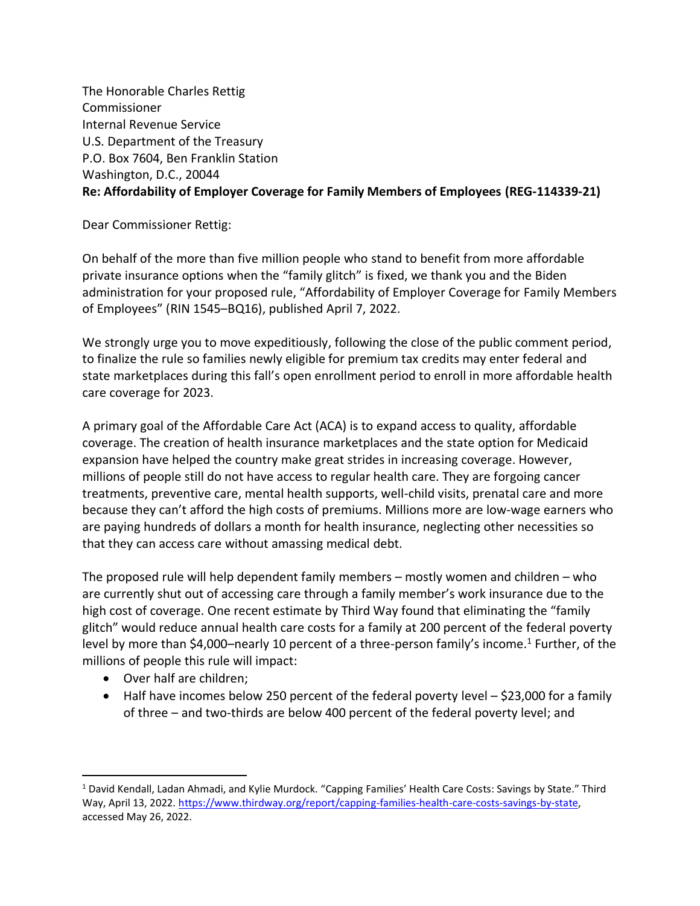The Honorable Charles Rettig Commissioner Internal Revenue Service U.S. Department of the Treasury P.O. Box 7604, Ben Franklin Station Washington, D.C., 20044 **Re: Affordability of Employer Coverage for Family Members of Employees (REG-114339-21)**

Dear Commissioner Rettig:

On behalf of the more than five million people who stand to benefit from more affordable private insurance options when the "family glitch" is fixed, we thank you and the Biden administration for your proposed rule, "Affordability of Employer Coverage for Family Members of Employees" (RIN 1545–BQ16), published April 7, 2022.

We strongly urge you to move expeditiously, following the close of the public comment period, to finalize the rule so families newly eligible for premium tax credits may enter federal and state marketplaces during this fall's open enrollment period to enroll in more affordable health care coverage for 2023.

A primary goal of the Affordable Care Act (ACA) is to expand access to quality, affordable coverage. The creation of health insurance marketplaces and the state option for Medicaid expansion have helped the country make great strides in increasing coverage. However, millions of people still do not have access to regular health care. They are forgoing cancer treatments, preventive care, mental health supports, well-child visits, prenatal care and more because they can't afford the high costs of premiums. Millions more are low-wage earners who are paying hundreds of dollars a month for health insurance, neglecting other necessities so that they can access care without amassing medical debt.

The proposed rule will help dependent family members – mostly women and children – who are currently shut out of accessing care through a family member's work insurance due to the high cost of coverage. One recent estimate by Third Way found that eliminating the "family glitch" would reduce annual health care costs for a family at 200 percent of the federal poverty level by more than \$4,000-nearly 10 percent of a three-person family's income.<sup>1</sup> Further, of the millions of people this rule will impact:

- Over half are children;
- Half have incomes below 250 percent of the federal poverty level \$23,000 for a family of three – and two-thirds are below 400 percent of the federal poverty level; and

<sup>1</sup> David Kendall, Ladan Ahmadi, and Kylie Murdock. "Capping Families' Health Care Costs: Savings by State." Third Way, April 13, 2022. [https://www.thirdway.org/report/capping-families-health-care-costs-savings-by-state,](https://www.thirdway.org/report/capping-families-health-care-costs-savings-by-state) accessed May 26, 2022.